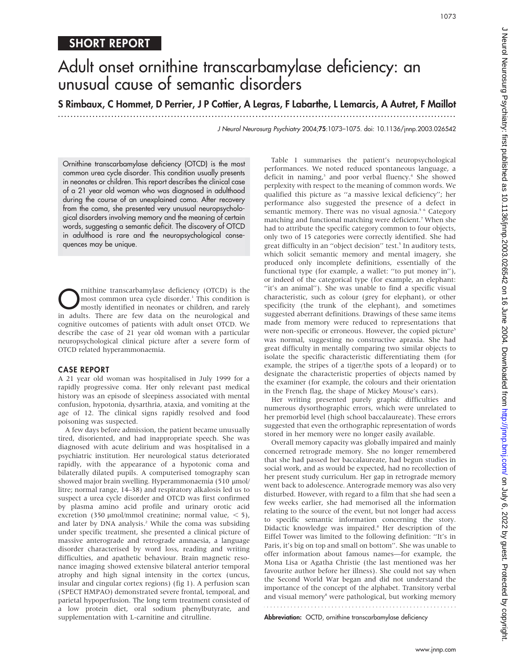## Adult onset ornithine transcarbamylase deficiency: an unusual cause of semantic disorders

S Rimbaux, C Hommet, D Perrier, J P Cottier, A Legras, F Labarthe, L Lemarcis, A Autret, F Maillot

...............................................................................................................................

J Neurol Neurosurg Psychiatry 2004;75:1073–1075. doi: 10.1136/jnnp.2003.026542

Ornithine transcarbamylase deficiency (OTCD) is the most common urea cycle disorder. This condition usually presents in neonates or children. This report describes the clinical case of a 21 year old woman who was diagnosed in adulthood during the course of an unexplained coma. After recovery from the coma, she presented very unusual neuropsychological disorders involving memory and the meaning of certain words, suggesting a semantic deficit. The discovery of OTCD in adulthood is rare and the neuropsychological consequences may be unique.

**C** mithine transcarbamylase deficiency (OTCD) is the mostly identified in neonates or children, and rarely in adults. There are for data on the neurological and most common urea cycle disorder.<sup>1</sup> This condition is in adults. There are few data on the neurological and cognitive outcomes of patients with adult onset OTCD. We describe the case of 21 year old woman with a particular neuropsychological clinical picture after a severe form of OTCD related hyperammonaemia.

## CASE REPORT

A 21 year old woman was hospitalised in July 1999 for a rapidly progressive coma. Her only relevant past medical history was an episode of sleepiness associated with mental confusion, hypotonia, dysarthria, ataxia, and vomiting at the age of 12. The clinical signs rapidly resolved and food poisoning was suspected.

A few days before admission, the patient became unusually tired, disoriented, and had inappropriate speech. She was diagnosed with acute delirium and was hospitalised in a psychiatric institution. Her neurological status deteriorated rapidly, with the appearance of a hypotonic coma and bilaterally dilated pupils. A computerised tomography scan showed major brain swelling. Hyperammonaemia (510 µmol/ litre; normal range, 14–38) and respiratory alkalosis led us to suspect a urea cycle disorder and OTCD was first confirmed by plasma amino acid profile and urinary orotic acid excretion (350  $\mu$ mol/mmol creatinine; normal value, < 5), and later by DNA analysis.<sup>2</sup> While the coma was subsiding under specific treatment, she presented a clinical picture of massive anterograde and retrograde amnaesia, a language disorder characterised by word loss, reading and writing difficulties, and apathetic behaviour. Brain magnetic resonance imaging showed extensive bilateral anterior temporal atrophy and high signal intensity in the cortex (uncus, insular and cingular cortex regions) (fig 1). A perfusion scan (SPECT HMPAO) demonstrated severe frontal, temporal, and parietal hypoperfusion. The long term treatment consisted of a low protein diet, oral sodium phenylbutyrate, and supplementation with L-carnitine and citrulline.

Table 1 summarises the patient's neuropsychological performances. We noted reduced spontaneous language, a deficit in naming,<sup>3</sup> and poor verbal fluency.<sup>4</sup> She showed perplexity with respect to the meaning of common words. We qualified this picture as ''a massive lexical deficiency''; her performance also suggested the presence of a defect in semantic memory. There was no visual agnosia.<sup>5 6</sup> Category matching and functional matching were deficient.7 When she had to attribute the specific category common to four objects, only two of 15 categories were correctly identified. She had great difficulty in an "object decision" test.<sup>5</sup> In auditory tests, which solicit semantic memory and mental imagery, she produced only incomplete definitions, essentially of the functional type (for example, a wallet: ''to put money in''), or indeed of the categorical type (for example, an elephant: "it's an animal"). She was unable to find a specific visual characteristic, such as colour (grey for elephant), or other specificity (the trunk of the elephant), and sometimes suggested aberrant definitions. Drawings of these same items made from memory were reduced to representations that were non-specific or erroneous. However, the copied picture<sup>5</sup> was normal, suggesting no constructive apraxia. She had great difficulty in mentally comparing two similar objects to isolate the specific characteristic differentiating them (for example, the stripes of a tiger/the spots of a leopard) or to designate the characteristic properties of objects named by the examiner (for example, the colours and their orientation in the French flag, the shape of Mickey Mouse's ears).

Her writing presented purely graphic difficulties and numerous dysorthographic errors, which were unrelated to her premorbid level (high school baccalaureate). These errors suggested that even the orthographic representation of words stored in her memory were no longer easily available.

Overall memory capacity was globally impaired and mainly concerned retrograde memory. She no longer remembered that she had passed her baccalaureate, had begun studies in social work, and as would be expected, had no recollection of her present study curriculum. Her gap in retrograde memory went back to adolescence. Anterograde memory was also very disturbed. However, with regard to a film that she had seen a few weeks earlier, she had memorised all the information relating to the source of the event, but not longer had access to specific semantic information concerning the story. Didactic knowledge was impaired.<sup>8</sup> Her description of the Eiffel Tower was limited to the following definition: ''It's in Paris, it's big on top and small on bottom''. She was unable to offer information about famous names—for example, the Mona Lisa or Agatha Christie (the last mentioned was her favourite author before her illness). She could not say when the Second World War began and did not understand the importance of the concept of the alphabet. Transitory verbal and visual memory<sup>8</sup> were pathological, but working memory 

Abbreviation: OCTD, ornithine transcarbamylase deficiency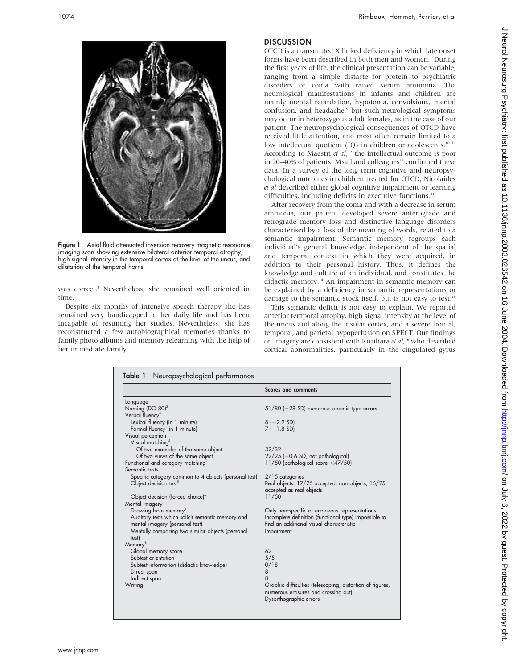

Figure 1 Axial fluid attenuated inversion recovery magnetic resonance imaging scan showing extensive bilateral anterior temporal atrophy, high signal intensity in the temporal cortex at the level of the uncus, and dilatation of the temporal horns.

was correct.8 Nevertheless, she remained well oriented in time.

Despite six months of intensive speech therapy she has remained very handicapped in her daily life and has been incapable of resuming her studies. Nevertheless, she has reconstructed a few autobiographical memories thanks to family photo albums and memory relearning with the help of her immediate family.

## DISCUSSION

OTCD is a transmitted X linked deficiency in which late onset forms have been described in both men and women.<sup>1</sup> During the first years of life, the clinical presentation can be variable, ranging from a simple distaste for protein to psychiatric disorders or coma with raised serum ammonia. The neurological manifestations in infants and children are mainly mental retardation, hypotonia, convulsions, mental confusion, and headache,<sup>9</sup> but such neurological symptoms may occur in heterozygous adult females, as in the case of our patient. The neuropsychological consequences of OTCD have received little attention, and most often remain limited to a low intellectual quotient (IQ) in children or adolescents.<sup>10 11</sup> According to Maestri et al,<sup>12</sup> the intellectual outcome is poor in 20–40% of patients. Msall and colleagues<sup>13</sup> confirmed these data. In a survey of the long term cognitive and neuropsychological outcomes in children treated for OTCD, Nicolaides et al described either global cognitive impairment or learning difficulties, including deficits in executive functions.<sup>11</sup>

After recovery from the coma and with a decrease in serum ammonia, our patient developed severe anterograde and retrograde memory loss and distinctive language disorders characterised by a loss of the meaning of words, related to a semantic impairment. Semantic memory regroups each individual's general knowledge, independent of the spatial and temporal context in which they were acquired, in addition to their personal history. Thus, it defines the knowledge and culture of an individual, and constitutes the didactic memory.14 An impairment in semantic memory can be explained by a deficiency in semantic representations or damage to the semantic stock itself, but is not easy to test.<sup>15</sup>

This semantic deficit is not easy to explain. We reported anterior temporal atrophy, high signal intensity at the level of the uncus and along the insular cortex, and a severe frontal, temporal, and parietal hypoperfusion on SPECT. Our findings on imagery are consistent with Kurihara et al,<sup>16</sup> who described cortical abnormalities, particularly in the cingulated gyrus

|                                                       | Scores and comments                                       |
|-------------------------------------------------------|-----------------------------------------------------------|
| Language                                              |                                                           |
| Naming (DO 80) <sup>3</sup>                           | $51/80$ (-28 SD) numerous anomic type errors              |
| Verbal fluency <sup>4</sup>                           |                                                           |
| Lexical fluency (in 1 minute)                         | $8(-2.9 SD)$                                              |
| Formal fluency (in 1 minute)                          | $7(-1.8 SD)$                                              |
| Visual perception                                     |                                                           |
| Visual matching <sup>5</sup>                          |                                                           |
| Of two examples of the same object                    | 32/32                                                     |
| Of two views of the same object                       | $22/25$ (-0.6 SD, not pathological)                       |
| Functional and category matching                      | $11/50$ (pathological score $\leq 47/50$ )                |
| Semantic tests                                        |                                                           |
| Specific category common to 4 objects (personal test) | $2/15$ categories                                         |
| Object decision test <sup>5</sup>                     | Real objects, 12/25 accepted; non objects, 16/25          |
|                                                       | accepted as real objects                                  |
| Object decision (forced choice) <sup>6</sup>          | 11/50                                                     |
| Mental imagery                                        |                                                           |
| Drawing from memory <sup>5</sup>                      | Only non-specific or erroneous representations            |
| Auditory tests which solicit semantic memory and      | Incomplete definition (functional type) Impossible to     |
| mental imagery (personal test)                        | find an additional visual characteristic                  |
| Mentally comparing two similar objects (personal      | Impairment                                                |
| test)                                                 |                                                           |
| Memory <sup>8</sup>                                   |                                                           |
| Global memory score                                   | 62                                                        |
| Subtest orientation                                   | 5/5                                                       |
| Subtest information (didactic knowledge)              | 0/18                                                      |
| Direct span                                           | 8                                                         |
| Indirect span                                         | 8                                                         |
| Writing                                               | Graphic difficulties (telescoping, distortion of figures, |
|                                                       | numerous erasures and crossing out)                       |
|                                                       | Dysorthographic errors                                    |